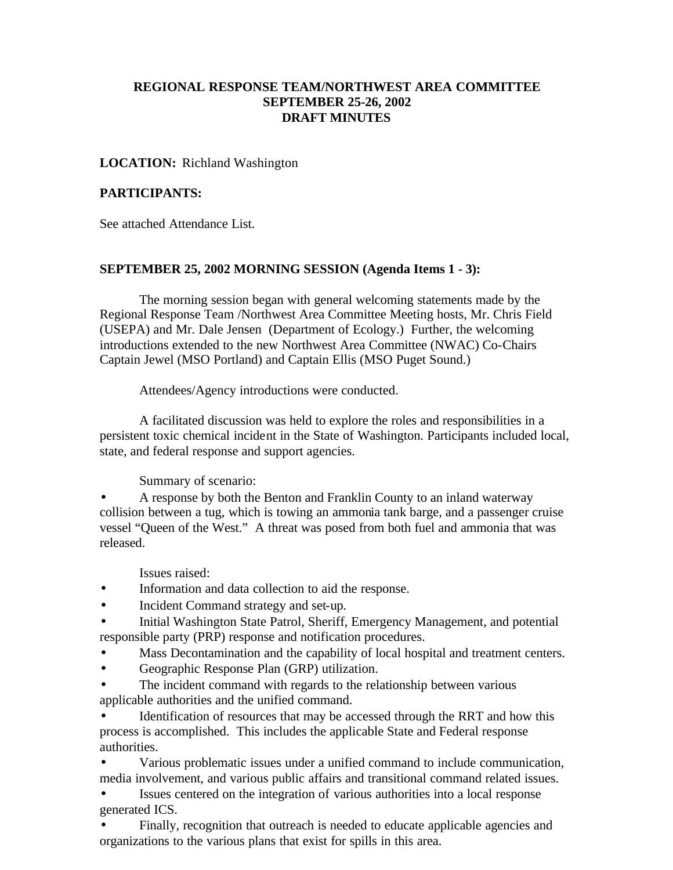### **REGIONAL RESPONSE TEAM/NORTHWEST AREA COMMITTEE SEPTEMBER 25-26, 2002 DRAFT MINUTES**

#### **LOCATION:** Richland Washington

#### **PARTICIPANTS:**

See attached Attendance List.

#### **SEPTEMBER 25, 2002 MORNING SESSION (Agenda Items 1 - 3):**

The morning session began with general welcoming statements made by the Regional Response Team /Northwest Area Committee Meeting hosts, Mr. Chris Field (USEPA) and Mr. Dale Jensen (Department of Ecology.) Further, the welcoming introductions extended to the new Northwest Area Committee (NWAC) Co-Chairs Captain Jewel (MSO Portland) and Captain Ellis (MSO Puget Sound.)

Attendees/Agency introductions were conducted.

A facilitated discussion was held to explore the roles and responsibilities in a persistent toxic chemical incident in the State of Washington. Participants included local, state, and federal response and support agencies.

Summary of scenario:

• A response by both the Benton and Franklin County to an inland waterway collision between a tug, which is towing an ammonia tank barge, and a passenger cruise vessel "Queen of the West." A threat was posed from both fuel and ammonia that was released.

Issues raised:

- Information and data collection to aid the response.
- Incident Command strategy and set-up.
- Initial Washington State Patrol, Sheriff, Emergency Management, and potential responsible party (PRP) response and notification procedures.
- Mass Decontamination and the capability of local hospital and treatment centers.
- Geographic Response Plan (GRP) utilization.
- The incident command with regards to the relationship between various applicable authorities and the unified command.

• Identification of resources that may be accessed through the RRT and how this process is accomplished. This includes the applicable State and Federal response authorities.

• Various problematic issues under a unified command to include communication, media involvement, and various public affairs and transitional command related issues.

Issues centered on the integration of various authorities into a local response generated ICS.

• Finally, recognition that outreach is needed to educate applicable agencies and organizations to the various plans that exist for spills in this area.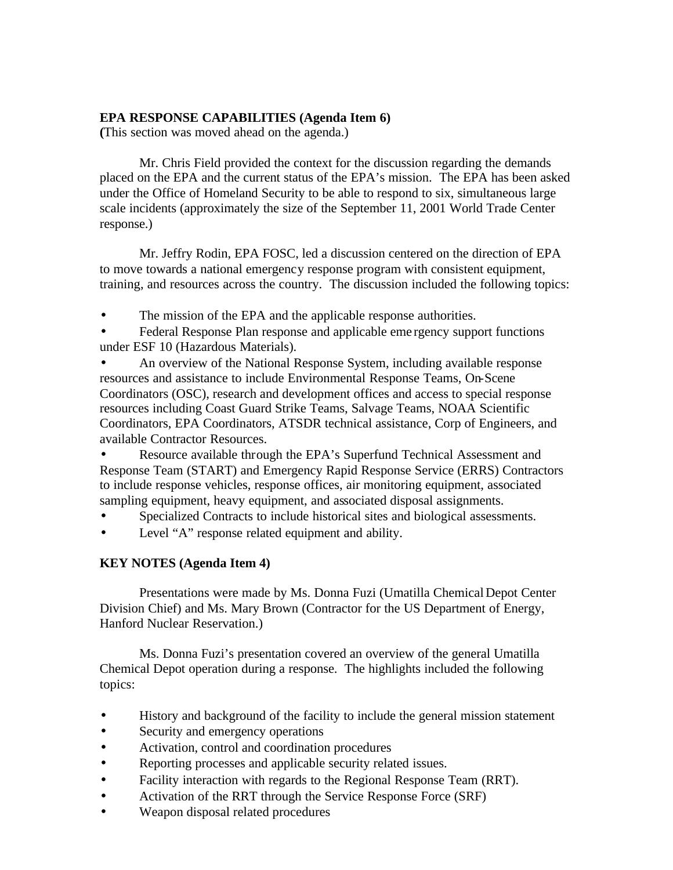### **EPA RESPONSE CAPABILITIES (Agenda Item 6)**

**(**This section was moved ahead on the agenda.)

Mr. Chris Field provided the context for the discussion regarding the demands placed on the EPA and the current status of the EPA's mission. The EPA has been asked under the Office of Homeland Security to be able to respond to six, simultaneous large scale incidents (approximately the size of the September 11, 2001 World Trade Center response.)

Mr. Jeffry Rodin, EPA FOSC, led a discussion centered on the direction of EPA to move towards a national emergency response program with consistent equipment, training, and resources across the country. The discussion included the following topics:

The mission of the EPA and the applicable response authorities.

• Federal Response Plan response and applicable eme rgency support functions under ESF 10 (Hazardous Materials).

• An overview of the National Response System, including available response resources and assistance to include Environmental Response Teams, On-Scene Coordinators (OSC), research and development offices and access to special response resources including Coast Guard Strike Teams, Salvage Teams, NOAA Scientific Coordinators, EPA Coordinators, ATSDR technical assistance, Corp of Engineers, and available Contractor Resources.

• Resource available through the EPA's Superfund Technical Assessment and Response Team (START) and Emergency Rapid Response Service (ERRS) Contractors to include response vehicles, response offices, air monitoring equipment, associated sampling equipment, heavy equipment, and associated disposal assignments.

- Specialized Contracts to include historical sites and biological assessments.
- Level "A" response related equipment and ability.

# **KEY NOTES (Agenda Item 4)**

Presentations were made by Ms. Donna Fuzi (Umatilla Chemical Depot Center Division Chief) and Ms. Mary Brown (Contractor for the US Department of Energy, Hanford Nuclear Reservation.)

Ms. Donna Fuzi's presentation covered an overview of the general Umatilla Chemical Depot operation during a response. The highlights included the following topics:

- History and background of the facility to include the general mission statement
- Security and emergency operations
- Activation, control and coordination procedures
- Reporting processes and applicable security related issues.
- Facility interaction with regards to the Regional Response Team (RRT).
- Activation of the RRT through the Service Response Force (SRF)
- Weapon disposal related procedures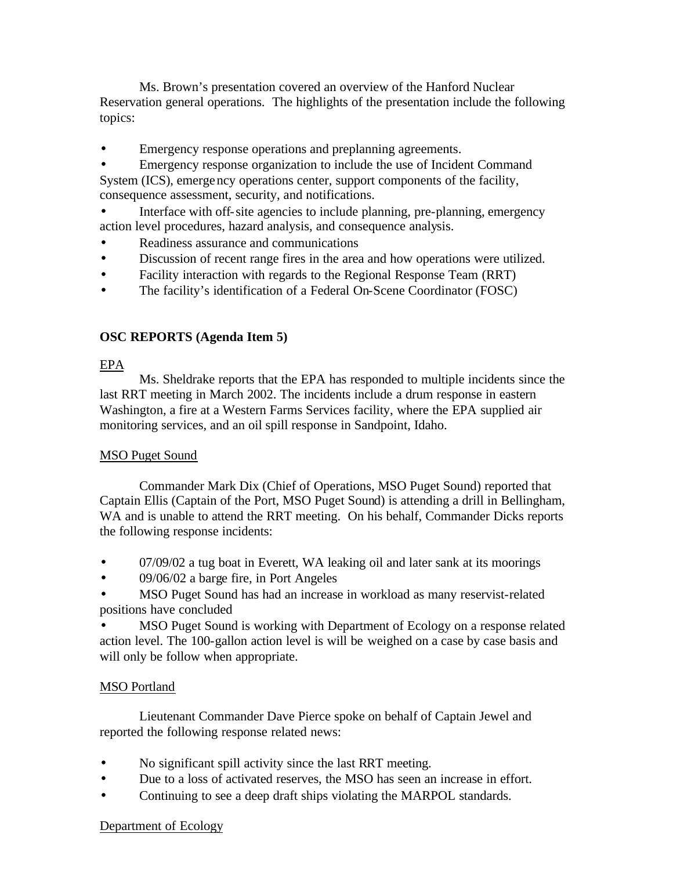Ms. Brown's presentation covered an overview of the Hanford Nuclear Reservation general operations. The highlights of the presentation include the following topics:

Emergency response operations and preplanning agreements.

• Emergency response organization to include the use of Incident Command System (ICS), emergency operations center, support components of the facility, consequence assessment, security, and notifications.

Interface with off-site agencies to include planning, pre-planning, emergency action level procedures, hazard analysis, and consequence analysis.

- Readiness assurance and communications
- Discussion of recent range fires in the area and how operations were utilized.
- Facility interaction with regards to the Regional Response Team (RRT)
- The facility's identification of a Federal On-Scene Coordinator (FOSC)

### **OSC REPORTS (Agenda Item 5)**

#### EPA

Ms. Sheldrake reports that the EPA has responded to multiple incidents since the last RRT meeting in March 2002. The incidents include a drum response in eastern Washington, a fire at a Western Farms Services facility, where the EPA supplied air monitoring services, and an oil spill response in Sandpoint, Idaho.

#### MSO Puget Sound

Commander Mark Dix (Chief of Operations, MSO Puget Sound) reported that Captain Ellis (Captain of the Port, MSO Puget Sound) is attending a drill in Bellingham, WA and is unable to attend the RRT meeting. On his behalf, Commander Dicks reports the following response incidents:

- 07/09/02 a tug boat in Everett, WA leaking oil and later sank at its moorings
- 09/06/02 a barge fire, in Port Angeles

• MSO Puget Sound has had an increase in workload as many reservist-related positions have concluded

• MSO Puget Sound is working with Department of Ecology on a response related action level. The 100-gallon action level is will be weighed on a case by case basis and will only be follow when appropriate.

#### MSO Portland

Lieutenant Commander Dave Pierce spoke on behalf of Captain Jewel and reported the following response related news:

- No significant spill activity since the last RRT meeting.
- Due to a loss of activated reserves, the MSO has seen an increase in effort.
- Continuing to see a deep draft ships violating the MARPOL standards.

#### Department of Ecology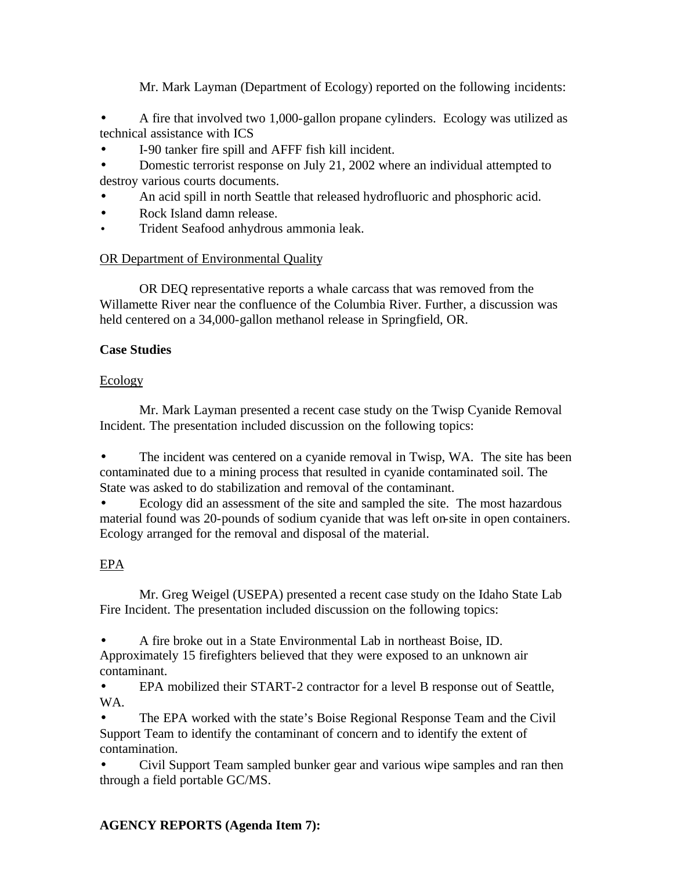Mr. Mark Layman (Department of Ecology) reported on the following incidents:

• A fire that involved two 1,000-gallon propane cylinders. Ecology was utilized as technical assistance with ICS

• I-90 tanker fire spill and AFFF fish kill incident.

• Domestic terrorist response on July 21, 2002 where an individual attempted to destroy various courts documents.

- An acid spill in north Seattle that released hydrofluoric and phosphoric acid.
- Rock Island damn release.
- Trident Seafood anhydrous ammonia leak.

# OR Department of Environmental Quality

OR DEQ representative reports a whale carcass that was removed from the Willamette River near the confluence of the Columbia River. Further, a discussion was held centered on a 34,000-gallon methanol release in Springfield, OR.

# **Case Studies**

# Ecology

Mr. Mark Layman presented a recent case study on the Twisp Cyanide Removal Incident. The presentation included discussion on the following topics:

The incident was centered on a cyanide removal in Twisp, WA. The site has been contaminated due to a mining process that resulted in cyanide contaminated soil. The State was asked to do stabilization and removal of the contaminant.

• Ecology did an assessment of the site and sampled the site. The most hazardous material found was 20-pounds of sodium cyanide that was left on-site in open containers. Ecology arranged for the removal and disposal of the material.

# EPA

Mr. Greg Weigel (USEPA) presented a recent case study on the Idaho State Lab Fire Incident. The presentation included discussion on the following topics:

• A fire broke out in a State Environmental Lab in northeast Boise, ID.

Approximately 15 firefighters believed that they were exposed to an unknown air contaminant.

• EPA mobilized their START-2 contractor for a level B response out of Seattle, WA.

• The EPA worked with the state's Boise Regional Response Team and the Civil Support Team to identify the contaminant of concern and to identify the extent of contamination.

• Civil Support Team sampled bunker gear and various wipe samples and ran then through a field portable GC/MS.

# **AGENCY REPORTS (Agenda Item 7):**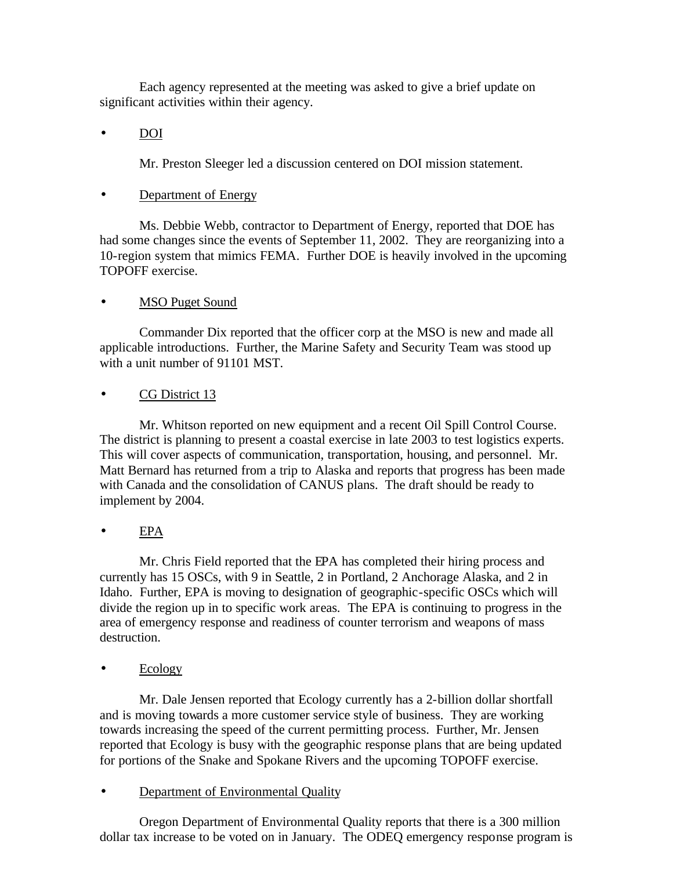Each agency represented at the meeting was asked to give a brief update on significant activities within their agency.

• DOI

Mr. Preston Sleeger led a discussion centered on DOI mission statement.

### • Department of Energy

Ms. Debbie Webb, contractor to Department of Energy, reported that DOE has had some changes since the events of September 11, 2002. They are reorganizing into a 10-region system that mimics FEMA. Further DOE is heavily involved in the upcoming TOPOFF exercise.

### **MSO Puget Sound**

Commander Dix reported that the officer corp at the MSO is new and made all applicable introductions. Further, the Marine Safety and Security Team was stood up with a unit number of 91101 MST.

### CG District 13

Mr. Whitson reported on new equipment and a recent Oil Spill Control Course. The district is planning to present a coastal exercise in late 2003 to test logistics experts. This will cover aspects of communication, transportation, housing, and personnel. Mr. Matt Bernard has returned from a trip to Alaska and reports that progress has been made with Canada and the consolidation of CANUS plans. The draft should be ready to implement by 2004.

# • EPA

Mr. Chris Field reported that the EPA has completed their hiring process and currently has 15 OSCs, with 9 in Seattle, 2 in Portland, 2 Anchorage Alaska, and 2 in Idaho. Further, EPA is moving to designation of geographic-specific OSCs which will divide the region up in to specific work areas. The EPA is continuing to progress in the area of emergency response and readiness of counter terrorism and weapons of mass destruction.

• Ecology

Mr. Dale Jensen reported that Ecology currently has a 2-billion dollar shortfall and is moving towards a more customer service style of business. They are working towards increasing the speed of the current permitting process. Further, Mr. Jensen reported that Ecology is busy with the geographic response plans that are being updated for portions of the Snake and Spokane Rivers and the upcoming TOPOFF exercise.

• Department of Environmental Quality

Oregon Department of Environmental Quality reports that there is a 300 million dollar tax increase to be voted on in January. The ODEQ emergency response program is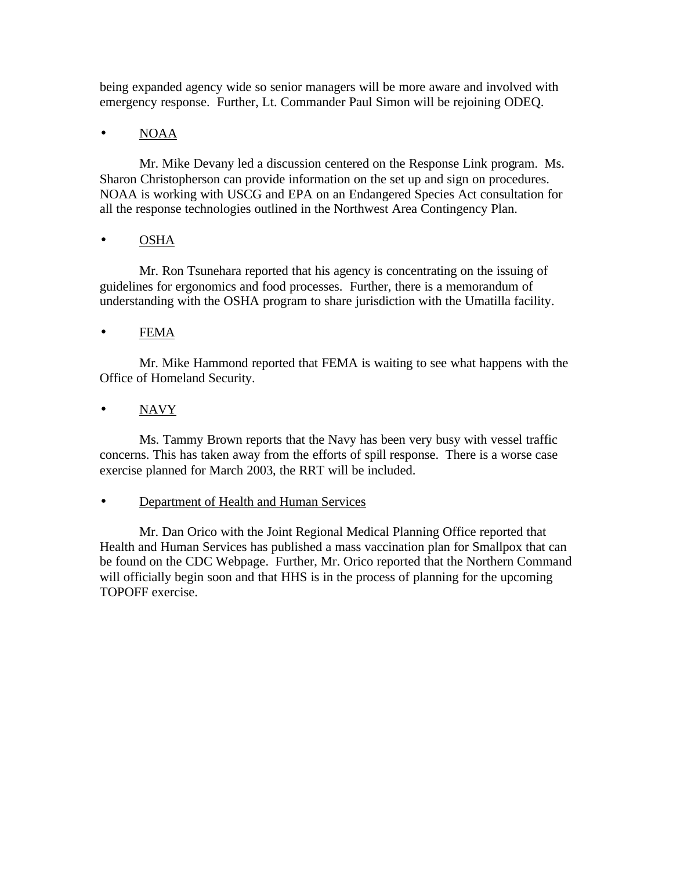being expanded agency wide so senior managers will be more aware and involved with emergency response. Further, Lt. Commander Paul Simon will be rejoining ODEQ.

# • NOAA

Mr. Mike Devany led a discussion centered on the Response Link program. Ms. Sharon Christopherson can provide information on the set up and sign on procedures. NOAA is working with USCG and EPA on an Endangered Species Act consultation for all the response technologies outlined in the Northwest Area Contingency Plan.

# • OSHA

Mr. Ron Tsunehara reported that his agency is concentrating on the issuing of guidelines for ergonomics and food processes. Further, there is a memorandum of understanding with the OSHA program to share jurisdiction with the Umatilla facility.

# • FEMA

Mr. Mike Hammond reported that FEMA is waiting to see what happens with the Office of Homeland Security.

# • NAVY

Ms. Tammy Brown reports that the Navy has been very busy with vessel traffic concerns. This has taken away from the efforts of spill response. There is a worse case exercise planned for March 2003, the RRT will be included.

# • Department of Health and Human Services

Mr. Dan Orico with the Joint Regional Medical Planning Office reported that Health and Human Services has published a mass vaccination plan for Smallpox that can be found on the CDC Webpage. Further, Mr. Orico reported that the Northern Command will officially begin soon and that HHS is in the process of planning for the upcoming TOPOFF exercise.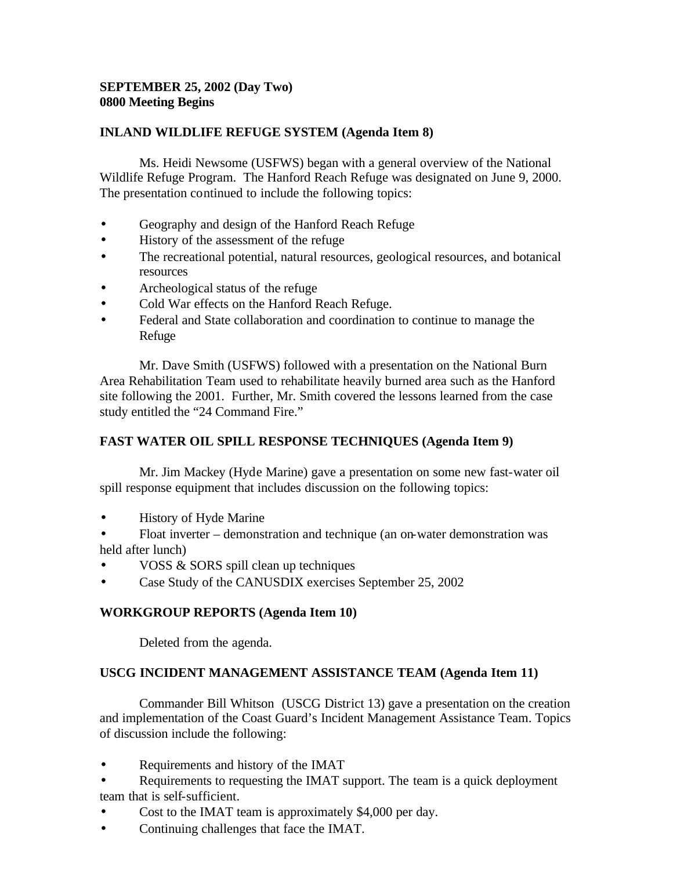# **SEPTEMBER 25, 2002 (Day Two) 0800 Meeting Begins**

# **INLAND WILDLIFE REFUGE SYSTEM (Agenda Item 8)**

Ms. Heidi Newsome (USFWS) began with a general overview of the National Wildlife Refuge Program. The Hanford Reach Refuge was designated on June 9, 2000. The presentation continued to include the following topics:

- Geography and design of the Hanford Reach Refuge
- History of the assessment of the refuge
- The recreational potential, natural resources, geological resources, and botanical resources
- Archeological status of the refuge
- Cold War effects on the Hanford Reach Refuge.
- Federal and State collaboration and coordination to continue to manage the Refuge

Mr. Dave Smith (USFWS) followed with a presentation on the National Burn Area Rehabilitation Team used to rehabilitate heavily burned area such as the Hanford site following the 2001. Further, Mr. Smith covered the lessons learned from the case study entitled the "24 Command Fire."

# **FAST WATER OIL SPILL RESPONSE TECHNIQUES (Agenda Item 9)**

Mr. Jim Mackey (Hyde Marine) gave a presentation on some new fast-water oil spill response equipment that includes discussion on the following topics:

- History of Hyde Marine
- Float inverter demonstration and technique (an on-water demonstration was held after lunch)
- VOSS & SORS spill clean up techniques
- Case Study of the CANUSDIX exercises September 25, 2002

# **WORKGROUP REPORTS (Agenda Item 10)**

Deleted from the agenda.

# **USCG INCIDENT MANAGEMENT ASSISTANCE TEAM (Agenda Item 11)**

Commander Bill Whitson (USCG District 13) gave a presentation on the creation and implementation of the Coast Guard's Incident Management Assistance Team. Topics of discussion include the following:

- Requirements and history of the IMAT
- Requirements to requesting the IMAT support. The team is a quick deployment team that is self-sufficient.
- Cost to the IMAT team is approximately \$4,000 per day.
- Continuing challenges that face the IMAT.